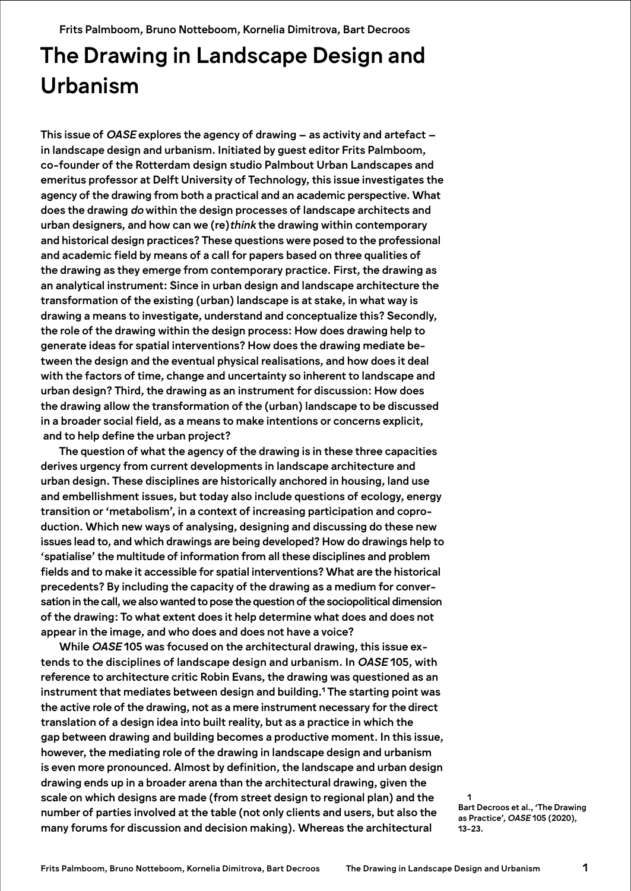Frits Palmboom, Bruno Notteboom, Kornelia Dimitrova, Bart Decroos

# The Drawing in Landscape Design and Urbanism

This issue of *OASE* explores the agency of drawing – as activity and artefact – in landscape design and urbanism. Initiated by guest editor Frits Palmboom, co-founder of the Rotterdam design studio Palmbout Urban Landscapes and emeritus professor at Delft University of Technology, this issue investigates the agency of the drawing from both a practical and an academic perspective. What does the drawing *do* within the design processes of landscape architects and urban designers, and how can we (re)*think* the drawing within contemporary and historical design practices? These questions were posed to the professional and academic field by means of a call for papers based on three qualities of the drawing as they emerge from contemporary practice. First, the drawing as an analytical instrument: Since in urban design and landscape architecture the transformation of the existing (urban) landscape is at stake, in what way is drawing a means to investigate, understand and conceptualize this? Secondly, the role of the drawing within the design process: How does drawing help to generate ideas for spatial interventions? How does the drawing mediate between the design and the eventual physical realisations, and how does it deal with the factors of time, change and uncertainty so inherent to landscape and urban design? Third, the drawing as an instrument for discussion: How does the drawing allow the transformation of the (urban) landscape to be discussed in a broader social field, as a means to make intentions or concerns explicit, and to help define the urban project?

The question of what the agency of the drawing is in these three capacities derives urgency from current developments in landscape architecture and urban design. These disciplines are historically anchored in housing, land use and embellishment issues, but today also include questions of ecology, energy transition or 'metabolism', in a context of increasing participation and coproduction. Which new ways of analysing, designing and discussing do these new issues lead to, and which drawings are being developed? How do drawings help to 'spatialise' the multitude of information from all these disciplines and problem fields and to make it accessible for spatial interventions? What are the historical precedents? By including the capacity of the drawing as a medium for conversation in the call, we also wanted to pose the question of the sociopolitical dimension of the drawing: To what extent does it help determine what does and does not appear in the image, and who does and does not have a voice?

While *OASE* 105 was focused on the architectural drawing, this issue extends to the disciplines of landscape design and urbanism. In *OASE* 105, with reference to architecture critic Robin Evans, the drawing was questioned as an instrument that mediates between design and building.**<sup>1</sup>** The starting point was the active role of the drawing, not as a mere instrument necessary for the direct translation of a design idea into built reality, but as a practice in which the gap between drawing and building becomes a productive moment. In this issue, however, the mediating role of the drawing in landscape design and urbanism is even more pronounced. Almost by definition, the landscape and urban design drawing ends up in a broader arena than the architectural drawing, given the scale on which designs are made (from street design to regional plan) and the number of parties involved at the table (not only clients and users, but also the many forums for discussion and decision making). Whereas the architectural

Bart Decroos et al., 'The Drawing as Practice', *OASE* 105 (2020), 13-23.

1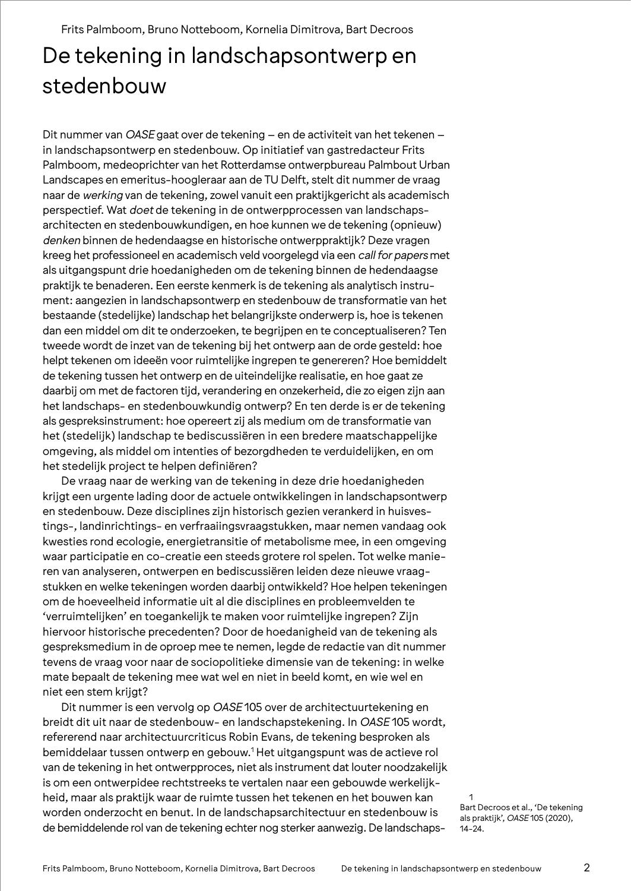Frits Palmboom, Bruno Notteboom, Kornelia Dimitrova, Bart Decroos

## De tekening in landschapsontwerp en stedenbouw

Dit nummer van *OASE* gaat over de tekening – en de activiteit van het tekenen – in landschapsontwerp en stedenbouw. Op initiatief van gastredacteur Frits Palmboom, medeoprichter van het Rotterdamse ontwerpbureau Palmbout Urban Landscapes en emeritus-hoogleraar aan de TU Delft, stelt dit nummer de vraag naar de *werking* van de tekening, zowel vanuit een praktijkgericht als academisch perspectief. Wat *doet* de tekening in de ontwerpprocessen van landschapsarchitecten en stedenbouwkundigen, en hoe kunnen we de tekening (opnieuw) *denken* binnen de hedendaagse en historische ontwerppraktijk? Deze vragen kreeg het professioneel en academisch veld voorgelegd via een *call for papers* met als uitgangspunt drie hoedanigheden om de tekening binnen de hedendaagse praktijk te benaderen. Een eerste kenmerk is de tekening als analytisch instrument: aangezien in landschapsontwerp en stedenbouw de transformatie van het bestaande (stedelijke) landschap het belangrijkste onderwerp is, hoe is tekenen dan een middel om dit te onderzoeken, te begrijpen en te conceptualiseren? Ten tweede wordt de inzet van de tekening bij het ontwerp aan de orde gesteld: hoe helpt tekenen om ideeën voor ruimtelijke ingrepen te genereren? Hoe bemiddelt de tekening tussen het ontwerp en de uiteindelijke realisatie, en hoe gaat ze daarbij om met de factoren tijd, verandering en onzekerheid, die zo eigen zijn aan het landschaps- en stedenbouwkundig ontwerp? En ten derde is er de tekening als gespreksinstrument: hoe opereert zij als medium om de transformatie van het (stedelijk) landschap te bediscussiëren in een bredere maatschappelijke omgeving, als middel om intenties of bezorgdheden te verduidelijken, en om het stedelijk project te helpen definiëren?

De vraag naar de werking van de tekening in deze drie hoedanigheden krijgt een urgente lading door de actuele ontwikkelingen in landschapsontwerp en stedenbouw. Deze disciplines zijn historisch gezien verankerd in huisvestings-, landinrichtings- en verfraaiingsvraagstukken, maar nemen vandaag ook kwesties rond ecologie, energietransitie of metabolisme mee, in een omgeving waar participatie en co-creatie een steeds grotere rol spelen. Tot welke manieren van analyseren, ontwerpen en bediscussiëren leiden deze nieuwe vraagstukken en welke tekeningen worden daarbij ontwikkeld? Hoe helpen tekeningen om de hoeveelheid informatie uit al die disciplines en probleemvelden te 'verruimtelijken' en toegankelijk te maken voor ruimtelijke ingrepen? Zijn hiervoor historische precedenten? Door de hoedanigheid van de tekening als gespreksmedium in de oproep mee te nemen, legde de redactie van dit nummer tevens de vraag voor naar de sociopolitieke dimensie van de tekening: in welke mate bepaalt de tekening mee wat wel en niet in beeld komt, en wie wel en niet een stem krijgt?

Dit nummer is een vervolg op *OASE* 105 over de architectuurtekening en breidt dit uit naar de stedenbouw- en landschapstekening. In *OASE* 105 wordt, refererend naar architectuurcriticus Robin Evans, de tekening besproken als bemiddelaar tussen ontwerp en gebouw.1 Het uitgangspunt was de actieve rol van de tekening in het ontwerpproces, niet als instrument dat louter noodzakelijk is om een ontwerpidee rechtstreeks te vertalen naar een gebouwde werkelijkheid, maar als praktijk waar de ruimte tussen het tekenen en het bouwen kan worden onderzocht en benut. In de landschapsarchitectuur en stedenbouw is de bemiddelende rol van de tekening echter nog sterker aanwezig. De landschaps-

1 Bart Decroos et al., 'De tekening als praktijk', *OASE* 105 (2020), 14-24.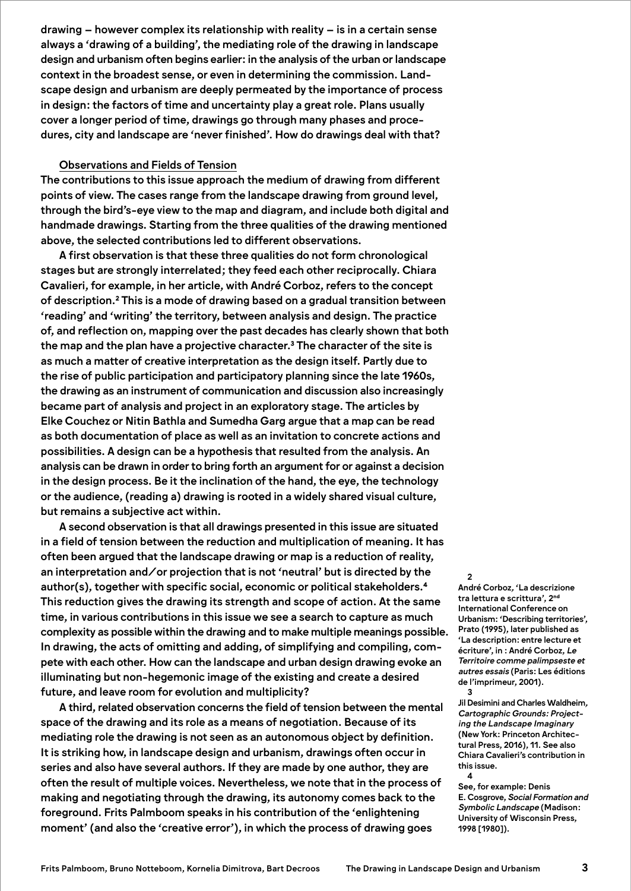drawing – however complex its relationship with reality – is in a certain sense always a 'drawing of a building', the mediating role of the drawing in landscape design and urbanism often begins earlier: in the analysis of the urban or landscape context in the broadest sense, or even in determining the commission. Landscape design and urbanism are deeply permeated by the importance of process in design: the factors of time and uncertainty play a great role. Plans usually cover a longer period of time, drawings go through many phases and procedures, city and landscape are 'never finished'. How do drawings deal with that?

## Observations and Fields of Tension

The contributions to this issue approach the medium of drawing from different points of view. The cases range from the landscape drawing from ground level, through the bird's-eye view to the map and diagram, and include both digital and handmade drawings. Starting from the three qualities of the drawing mentioned above, the selected contributions led to different observations.

A first observation is that these three qualities do not form chronological stages but are strongly interrelated; they feed each other reciprocally. Chiara Cavalieri, for example, in her article, with André Corboz, refers to the concept of description.**<sup>2</sup>** This is a mode of drawing based on a gradual transition between 'reading' and 'writing' the territory, between analysis and design. The practice of, and reflection on, mapping over the past decades has clearly shown that both the map and the plan have a projective character.**<sup>3</sup>** The character of the site is as much a matter of creative interpretation as the design itself. Partly due to the rise of public participation and participatory planning since the late 1960s, the drawing as an instrument of communication and discussion also increasingly became part of analysis and project in an exploratory stage. The articles by Elke Couchez or Nitin Bathla and Sumedha Garg argue that a map can be read as both documentation of place as well as an invitation to concrete actions and possibilities. A design can be a hypothesis that resulted from the analysis. An analysis can be drawn in order to bring forth an argument for or against a decision in the design process. Be it the inclination of the hand, the eye, the technology or the audience, (reading a) drawing is rooted in a widely shared visual culture, but remains a subjective act within.

A second observation is that all drawings presented in this issue are situated in a field of tension between the reduction and multiplication of meaning. It has often been argued that the landscape drawing or map is a reduction of reality, an interpretation and/or projection that is not 'neutral' but is directed by the author(s), together with specific social, economic or political stakeholders.**<sup>4</sup>** This reduction gives the drawing its strength and scope of action. At the same time, in various contributions in this issue we see a search to capture as much complexity as possible within the drawing and to make multiple meanings possible. In drawing, the acts of omitting and adding, of simplifying and compiling, compete with each other. How can the landscape and urban design drawing evoke an illuminating but non-hegemonic image of the existing and create a desired future, and leave room for evolution and multiplicity?

A third, related observation concerns the field of tension between the mental space of the drawing and its role as a means of negotiation. Because of its mediating role the drawing is not seen as an autonomous object by definition. It is striking how, in landscape design and urbanism, drawings often occur in series and also have several authors. If they are made by one author, they are often the result of multiple voices. Nevertheless, we note that in the process of making and negotiating through the drawing, its autonomy comes back to the foreground. Frits Palmboom speaks in his contribution of the 'enlightening moment' (and also the 'creative error'), in which the process of drawing goes

#### $\overline{2}$

André Corboz*,* 'La descrizione tra lettura e scrittura', 2**nd** International Conference on Urbanism: 'Describing territories', Prato (1995), later published as 'La description: entre lecture et écriture', in : André Corboz, *Le Territoire comme palimpseste et autres essais* (Paris: Les éditions de l'imprimeur, 2001). 3

Jil Desimini and Charles Waldheim*, Cartographic Grounds: Projecting the Landscape Imaginary* (New York: Princeton Architectural Press, 2016), 11. See also Chiara Cavalieri's contribution in this issue. 4

See, for example: Denis E. Cosgrove, *Social Formation and Symbolic Landscape* (Madison: University of Wisconsin Press, 1998 [1980]).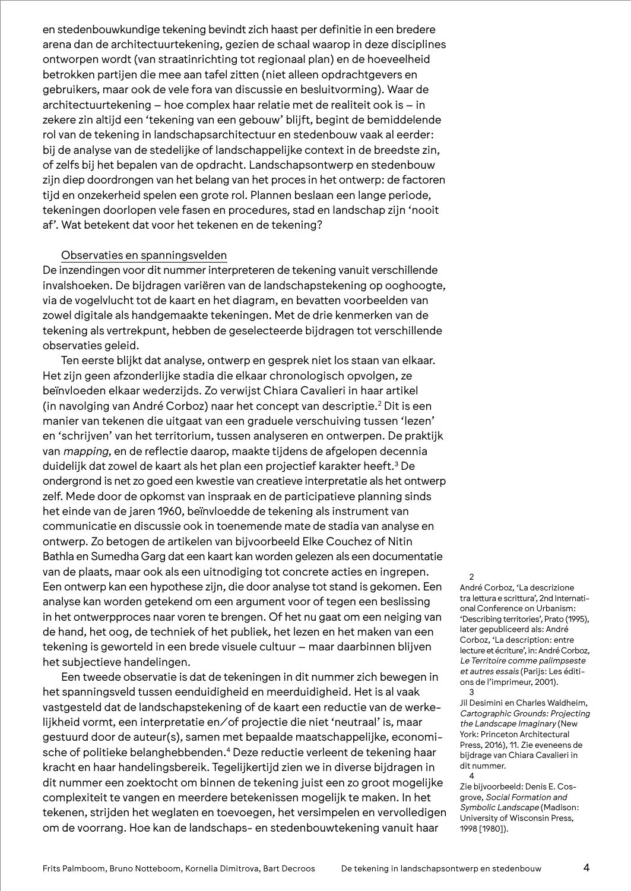en stedenbouwkundige tekening bevindt zich haast per definitie in een bredere arena dan de architectuurtekening, gezien de schaal waarop in deze disciplines ontworpen wordt (van straatinrichting tot regionaal plan) en de hoeveelheid betrokken partijen die mee aan tafel zitten (niet alleen opdrachtgevers en gebruikers, maar ook de vele fora van discussie en besluitvorming). Waar de architectuurtekening – hoe complex haar relatie met de realiteit ook is – in zekere zin altijd een 'tekening van een gebouw' blijft, begint de bemiddelende rol van de tekening in landschapsarchitectuur en stedenbouw vaak al eerder: bij de analyse van de stedelijke of landschappelijke context in de breedste zin, of zelfs bij het bepalen van de opdracht. Landschapsontwerp en stedenbouw zijn diep doordrongen van het belang van het proces in het ontwerp: de factoren tijd en onzekerheid spelen een grote rol. Plannen beslaan een lange periode, tekeningen doorlopen vele fasen en procedures, stad en landschap zijn 'nooit af'. Wat betekent dat voor het tekenen en de tekening?

## Observaties en spanningsvelden

De inzendingen voor dit nummer interpreteren de tekening vanuit verschillende invalshoeken. De bijdragen variëren van de landschapstekening op ooghoogte, via de vogelvlucht tot de kaart en het diagram, en bevatten voorbeelden van zowel digitale als handgemaakte tekeningen. Met de drie kenmerken van de tekening als vertrekpunt, hebben de geselecteerde bijdragen tot verschillende observaties geleid.

Ten eerste blijkt dat analyse, ontwerp en gesprek niet los staan van elkaar. Het zijn geen afzonderlijke stadia die elkaar chronologisch opvolgen, ze beïnvloeden elkaar wederzijds. Zo verwijst Chiara Cavalieri in haar artikel (in navolging van André Corboz) naar het concept van descriptie.<sup>2</sup> Dit is een manier van tekenen die uitgaat van een graduele verschuiving tussen 'lezen' en 'schrijven' van het territorium, tussen analyseren en ontwerpen. De praktijk van *mapping*, en de reflectie daarop, maakte tijdens de afgelopen decennia duidelijk dat zowel de kaart als het plan een projectief karakter heeft.3 De ondergrond is net zo goed een kwestie van creatieve interpretatie als het ontwerp zelf. Mede door de opkomst van inspraak en de participatieve planning sinds het einde van de jaren 1960, beïnvloedde de tekening als instrument van communicatie en discussie ook in toenemende mate de stadia van analyse en ontwerp. Zo betogen de artikelen van bijvoorbeeld Elke Couchez of Nitin Bathla en Sumedha Garg dat een kaart kan worden gelezen als een documentatie van de plaats, maar ook als een uitnodiging tot concrete acties en ingrepen. Een ontwerp kan een hypothese zijn, die door analyse tot stand is gekomen. Een analyse kan worden getekend om een argument voor of tegen een beslissing in het ontwerpproces naar voren te brengen. Of het nu gaat om een neiging van de hand, het oog, de techniek of het publiek, het lezen en het maken van een tekening is geworteld in een brede visuele cultuur – maar daarbinnen blijven het subjectieve handelingen.

Een tweede observatie is dat de tekeningen in dit nummer zich bewegen in het spanningsveld tussen eenduidigheid en meerduidigheid. Het is al vaak vastgesteld dat de landschapstekening of de kaart een reductie van de werkelijkheid vormt, een interpretatie en/of projectie die niet 'neutraal' is, maar gestuurd door de auteur(s), samen met bepaalde maatschappelijke, economische of politieke belanghebbenden.<sup>4</sup> Deze reductie verleent de tekening haar kracht en haar handelingsbereik. Tegelijkertijd zien we in diverse bijdragen in dit nummer een zoektocht om binnen de tekening juist een zo groot mogelijke complexiteit te vangen en meerdere betekenissen mogelijk te maken. In het tekenen, strijden het weglaten en toevoegen, het versimpelen en vervolledigen om de voorrang. Hoe kan de landschaps- en stedenbouwtekening vanuit haar

#### $\mathfrak{D}$

André Corboz, 'La descrizione tra lettura e scrittura', 2nd International Conference on Urbanism: 'Describing territories', Prato (1995), later gepubliceerd als: André Corboz, 'La description: entre lecture et écriture', in: André Corboz, *Le Territoire comme palimpseste et autres essais* (Parijs: Les éditions de l'imprimeur, 2001). 3

Jil Desimini en Charles Waldheim, *Cartographic Grounds: Projecting the Landscape Imaginary* (New York: Princeton Architectural Press, 2016), 11. Zie eveneens de bijdrage van Chiara Cavalieri in dit nummer. 4

Zie bijvoorbeeld: Denis E. Cosgrove, *Social Formation and Symbolic Landscape* (Madison: University of Wisconsin Press, 1998 [1980]).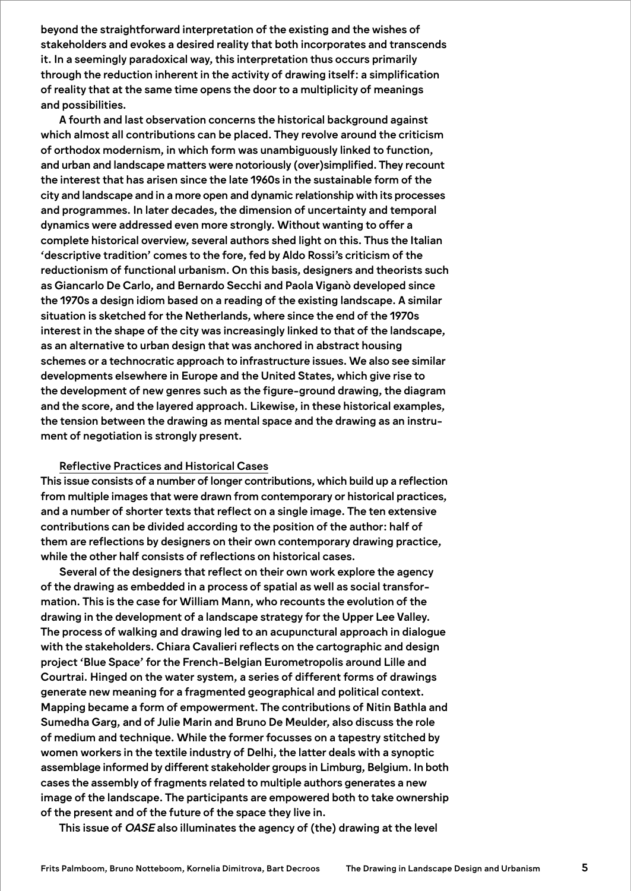beyond the straightforward interpretation of the existing and the wishes of stakeholders and evokes a desired reality that both incorporates and transcends it. In a seemingly paradoxical way, this interpretation thus occurs primarily through the reduction inherent in the activity of drawing itself: a simplification of reality that at the same time opens the door to a multiplicity of meanings and possibilities.

A fourth and last observation concerns the historical background against which almost all contributions can be placed. They revolve around the criticism of orthodox modernism, in which form was unambiguously linked to function, and urban and landscape matters were notoriously (over)simplified. They recount the interest that has arisen since the late 1960s in the sustainable form of the city and landscape and in a more open and dynamic relationship with its processes and programmes. In later decades, the dimension of uncertainty and temporal dynamics were addressed even more strongly. Without wanting to offer a complete historical overview, several authors shed light on this. Thus the Italian 'descriptive tradition' comes to the fore, fed by Aldo Rossi's criticism of the reductionism of functional urbanism. On this basis, designers and theorists such as Giancarlo De Carlo, and Bernardo Secchi and Paola Viganò developed since the 1970s a design idiom based on a reading of the existing landscape. A similar situation is sketched for the Netherlands, where since the end of the 1970s interest in the shape of the city was increasingly linked to that of the landscape, as an alternative to urban design that was anchored in abstract housing schemes or a technocratic approach to infrastructure issues. We also see similar developments elsewhere in Europe and the United States, which give rise to the development of new genres such as the figure-ground drawing, the diagram and the score, and the layered approach. Likewise, in these historical examples, the tension between the drawing as mental space and the drawing as an instrument of negotiation is strongly present.

## Reflective Practices and Historical Cases

This issue consists of a number of longer contributions, which build up a reflection from multiple images that were drawn from contemporary or historical practices, and a number of shorter texts that reflect on a single image. The ten extensive contributions can be divided according to the position of the author: half of them are reflections by designers on their own contemporary drawing practice, while the other half consists of reflections on historical cases.

Several of the designers that reflect on their own work explore the agency of the drawing as embedded in a process of spatial as well as social transformation. This is the case for William Mann, who recounts the evolution of the drawing in the development of a landscape strategy for the Upper Lee Valley. The process of walking and drawing led to an acupunctural approach in dialogue with the stakeholders. Chiara Cavalieri reflects on the cartographic and design project 'Blue Space' for the French-Belgian Eurometropolis around Lille and Courtrai. Hinged on the water system, a series of different forms of drawings generate new meaning for a fragmented geographical and political context. Mapping became a form of empowerment. The contributions of Nitin Bathla and Sumedha Garg, and of Julie Marin and Bruno De Meulder, also discuss the role of medium and technique. While the former focusses on a tapestry stitched by women workers in the textile industry of Delhi, the latter deals with a synoptic assemblage informed by different stakeholder groups in Limburg, Belgium. In both cases the assembly of fragments related to multiple authors generates a new image of the landscape. The participants are empowered both to take ownership of the present and of the future of the space they live in.

This issue of *OASE* also illuminates the agency of (the) drawing at the level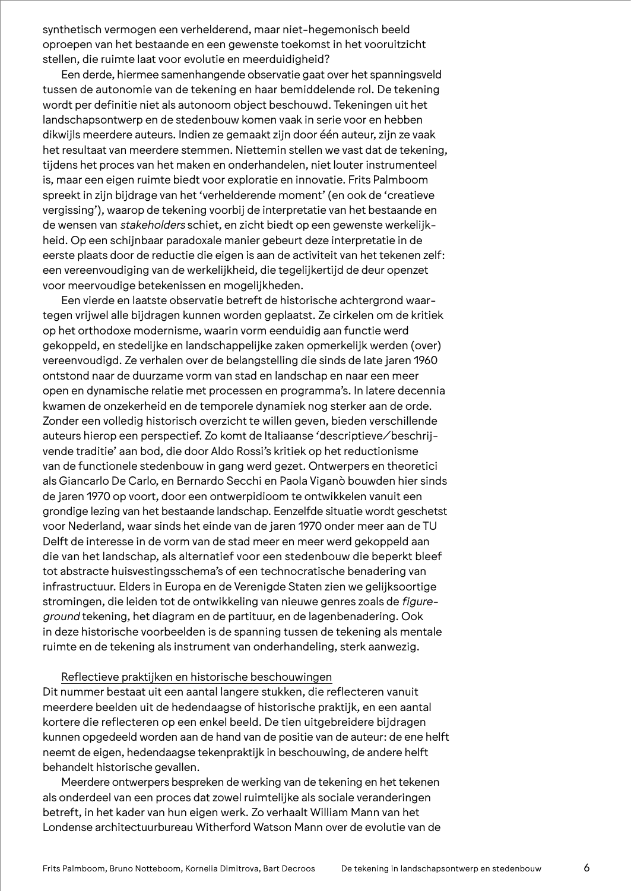synthetisch vermogen een verhelderend, maar niet-hegemonisch beeld oproepen van het bestaande en een gewenste toekomst in het vooruitzicht stellen, die ruimte laat voor evolutie en meerduidigheid?

Een derde, hiermee samenhangende observatie gaat over het spanningsveld tussen de autonomie van de tekening en haar bemiddelende rol. De tekening wordt per definitie niet als autonoom object beschouwd. Tekeningen uit het landschapsontwerp en de stedenbouw komen vaak in serie voor en hebben dikwijls meerdere auteurs. Indien ze gemaakt zijn door één auteur, zijn ze vaak het resultaat van meerdere stemmen. Niettemin stellen we vast dat de tekening, tijdens het proces van het maken en onderhandelen, niet louter instrumenteel is, maar een eigen ruimte biedt voor exploratie en innovatie. Frits Palmboom spreekt in zijn bijdrage van het 'verhelderende moment' (en ook de 'creatieve vergissing'), waarop de tekening voorbij de interpretatie van het bestaande en de wensen van *stakeholders* schiet, en zicht biedt op een gewenste werkelijkheid. Op een schijnbaar paradoxale manier gebeurt deze interpretatie in de eerste plaats door de reductie die eigen is aan de activiteit van het tekenen zelf: een vereenvoudiging van de werkelijkheid, die tegelijkertijd de deur openzet voor meervoudige betekenissen en mogelijkheden.

Een vierde en laatste observatie betreft de historische achtergrond waartegen vrijwel alle bijdragen kunnen worden geplaatst. Ze cirkelen om de kritiek op het orthodoxe modernisme, waarin vorm eenduidig aan functie werd gekoppeld, en stedelijke en landschappelijke zaken opmerkelijk werden (over) vereenvoudigd. Ze verhalen over de belangstelling die sinds de late jaren 1960 ontstond naar de duurzame vorm van stad en landschap en naar een meer open en dynamische relatie met processen en programma's. In latere decennia kwamen de onzekerheid en de temporele dynamiek nog sterker aan de orde. Zonder een volledig historisch overzicht te willen geven, bieden verschillende auteurs hierop een perspectief. Zo komt de Italiaanse 'descriptieve/beschrijvende traditie' aan bod, die door Aldo Rossi's kritiek op het reductionisme van de functionele stedenbouw in gang werd gezet. Ontwerpers en theoretici als Giancarlo De Carlo, en Bernardo Secchi en Paola Viganò bouwden hier sinds de jaren 1970 op voort, door een ontwerpidioom te ontwikkelen vanuit een grondige lezing van het bestaande landschap. Eenzelfde situatie wordt geschetst voor Nederland, waar sinds het einde van de jaren 1970 onder meer aan de TU Delft de interesse in de vorm van de stad meer en meer werd gekoppeld aan die van het landschap, als alternatief voor een stedenbouw die beperkt bleef tot abstracte huisvestingsschema's of een technocratische benadering van infrastructuur. Elders in Europa en de Verenigde Staten zien we gelijksoortige stromingen, die leiden tot de ontwikkeling van nieuwe genres zoals de *figureground* tekening, het diagram en de partituur, en de lagenbenadering. Ook in deze historische voorbeelden is de spanning tussen de tekening als mentale ruimte en de tekening als instrument van onderhandeling, sterk aanwezig.

### Reflectieve praktijken en historische beschouwingen

Dit nummer bestaat uit een aantal langere stukken, die reflecteren vanuit meerdere beelden uit de hedendaagse of historische praktijk, en een aantal kortere die reflecteren op een enkel beeld. De tien uitgebreidere bijdragen kunnen opgedeeld worden aan de hand van de positie van de auteur: de ene helft neemt de eigen, hedendaagse tekenpraktijk in beschouwing, de andere helft behandelt historische gevallen.

Meerdere ontwerpers bespreken de werking van de tekening en het tekenen als onderdeel van een proces dat zowel ruimtelijke als sociale veranderingen betreft, in het kader van hun eigen werk. Zo verhaalt William Mann van het Londense architectuurbureau Witherford Watson Mann over de evolutie van de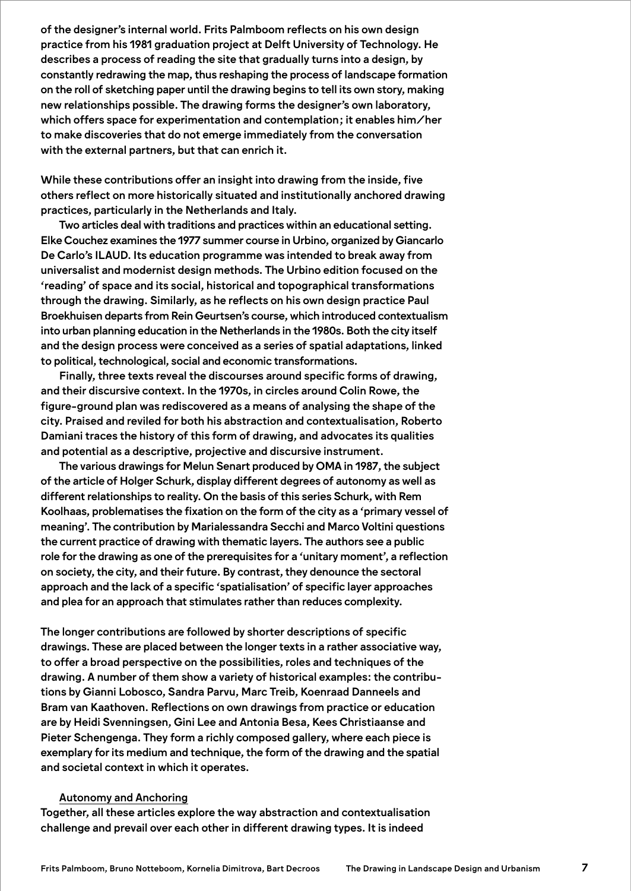of the designer's internal world. Frits Palmboom reflects on his own design practice from his 1981 graduation project at Delft University of Technology. He describes a process of reading the site that gradually turns into a design, by constantly redrawing the map, thus reshaping the process of landscape formation on the roll of sketching paper until the drawing begins to tell its own story, making new relationships possible. The drawing forms the designer's own laboratory, which offers space for experimentation and contemplation; it enables him/her to make discoveries that do not emerge immediately from the conversation with the external partners, but that can enrich it.

While these contributions offer an insight into drawing from the inside, five others reflect on more historically situated and institutionally anchored drawing practices, particularly in the Netherlands and Italy.

Two articles deal with traditions and practices within an educational setting. Elke Couchez examines the 1977 summer course in Urbino, organized by Giancarlo De Carlo's ILAUD. Its education programme was intended to break away from universalist and modernist design methods. The Urbino edition focused on the 'reading' of space and its social, historical and topographical transformations through the drawing. Similarly, as he reflects on his own design practice Paul Broekhuisen departs from Rein Geurtsen's course, which introduced contextualism into urban planning education in the Netherlands in the 1980s. Both the city itself and the design process were conceived as a series of spatial adaptations, linked to political, technological, social and economic transformations.

Finally, three texts reveal the discourses around specific forms of drawing, and their discursive context. In the 1970s, in circles around Colin Rowe, the figure-ground plan was rediscovered as a means of analysing the shape of the city. Praised and reviled for both his abstraction and contextualisation, Roberto Damiani traces the history of this form of drawing, and advocates its qualities and potential as a descriptive, projective and discursive instrument.

The various drawings for Melun Senart produced by OMA in 1987, the subject of the article of Holger Schurk, display different degrees of autonomy as well as different relationships to reality. On the basis of this series Schurk, with Rem Koolhaas, problematises the fixation on the form of the city as a 'primary vessel of meaning'. The contribution by Marialessandra Secchi and Marco Voltini questions the current practice of drawing with thematic layers. The authors see a public role for the drawing as one of the prerequisites for a 'unitary moment', a reflection on society, the city, and their future. By contrast, they denounce the sectoral approach and the lack of a specific 'spatialisation' of specific layer approaches and plea for an approach that stimulates rather than reduces complexity.

The longer contributions are followed by shorter descriptions of specific drawings. These are placed between the longer texts in a rather associative way, to offer a broad perspective on the possibilities, roles and techniques of the drawing. A number of them show a variety of historical examples: the contributions by Gianni Lobosco, Sandra Parvu, Marc Treib, Koenraad Danneels and Bram van Kaathoven. Reflections on own drawings from practice or education are by Heidi Svenningsen, Gini Lee and Antonia Besa, Kees Christiaanse and Pieter Schengenga. They form a richly composed gallery, where each piece is exemplary for its medium and technique, the form of the drawing and the spatial and societal context in which it operates.

## Autonomy and Anchoring

Together, all these articles explore the way abstraction and contextualisation challenge and prevail over each other in different drawing types. It is indeed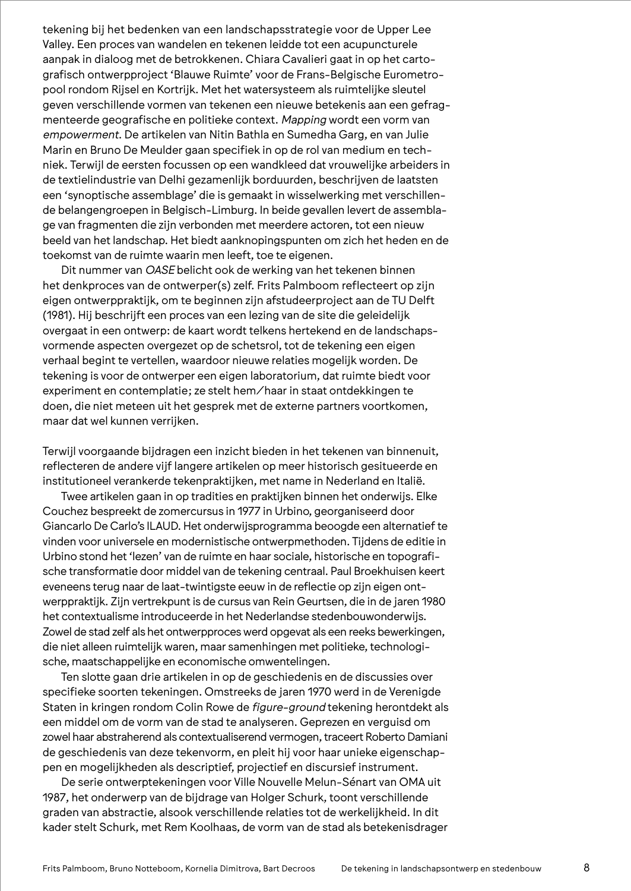tekening bij het bedenken van een landschapsstrategie voor de Upper Lee Valley. Een proces van wandelen en tekenen leidde tot een acupuncturele aanpak in dialoog met de betrokkenen. Chiara Cavalieri gaat in op het cartografisch ontwerpproject 'Blauwe Ruimte' voor de Frans-Belgische Eurometropool rondom Rijsel en Kortrijk. Met het watersysteem als ruimtelijke sleutel geven verschillende vormen van tekenen een nieuwe betekenis aan een gefragmenteerde geografische en politieke context. *Mapping* wordt een vorm van *empowerment*. De artikelen van Nitin Bathla en Sumedha Garg, en van Julie Marin en Bruno De Meulder gaan specifiek in op de rol van medium en techniek. Terwijl de eersten focussen op een wandkleed dat vrouwelijke arbeiders in de textielindustrie van Delhi gezamenlijk borduurden, beschrijven de laatsten een 'synoptische assemblage' die is gemaakt in wisselwerking met verschillende belangengroepen in Belgisch-Limburg. In beide gevallen levert de assemblage van fragmenten die zijn verbonden met meerdere actoren, tot een nieuw beeld van het landschap. Het biedt aanknopingspunten om zich het heden en de toekomst van de ruimte waarin men leeft, toe te eigenen.

Dit nummer van *OASE* belicht ook de werking van het tekenen binnen het denkproces van de ontwerper(s) zelf. Frits Palmboom reflecteert op zijn eigen ontwerppraktijk, om te beginnen zijn afstudeerproject aan de TU Delft (1981). Hij beschrijft een proces van een lezing van de site die geleidelijk overgaat in een ontwerp: de kaart wordt telkens hertekend en de landschapsvormende aspecten overgezet op de schetsrol, tot de tekening een eigen verhaal begint te vertellen, waardoor nieuwe relaties mogelijk worden. De tekening is voor de ontwerper een eigen laboratorium, dat ruimte biedt voor experiment en contemplatie; ze stelt hem/haar in staat ontdekkingen te doen, die niet meteen uit het gesprek met de externe partners voortkomen, maar dat wel kunnen verrijken.

Terwijl voorgaande bijdragen een inzicht bieden in het tekenen van binnenuit, reflecteren de andere vijf langere artikelen op meer historisch gesitueerde en institutioneel verankerde tekenpraktijken, met name in Nederland en Italië.

Twee artikelen gaan in op tradities en praktijken binnen het onderwijs. Elke Couchez bespreekt de zomercursus in 1977 in Urbino, georganiseerd door Giancarlo De Carlo's ILAUD. Het onderwijsprogramma beoogde een alternatief te vinden voor universele en modernistische ontwerpmethoden. Tijdens de editie in Urbino stond het 'lezen' van de ruimte en haar sociale, historische en topografische transformatie door middel van de tekening centraal. Paul Broekhuisen keert eveneens terug naar de laat-twintigste eeuw in de reflectie op zijn eigen ontwerppraktijk. Zijn vertrekpunt is de cursus van Rein Geurtsen, die in de jaren 1980 het contextualisme introduceerde in het Nederlandse stedenbouwonderwijs. Zowel de stad zelf als het ontwerpproces werd opgevat als een reeks bewerkingen, die niet alleen ruimtelijk waren, maar samenhingen met politieke, technologische, maatschappelijke en economische omwentelingen.

Ten slotte gaan drie artikelen in op de geschiedenis en de discussies over specifieke soorten tekeningen. Omstreeks de jaren 1970 werd in de Verenigde Staten in kringen rondom Colin Rowe de *figure-ground* tekening herontdekt als een middel om de vorm van de stad te analyseren. Geprezen en verguisd om zowel haar abstraherend als contextualiserend vermogen, traceert Roberto Damiani de geschiedenis van deze tekenvorm, en pleit hij voor haar unieke eigenschappen en mogelijkheden als descriptief, projectief en discursief instrument.

De serie ontwerptekeningen voor Ville Nouvelle Melun-Sénart van OMA uit 1987, het onderwerp van de bijdrage van Holger Schurk, toont verschillende graden van abstractie, alsook verschillende relaties tot de werkelijkheid. In dit kader stelt Schurk, met Rem Koolhaas, de vorm van de stad als betekenisdrager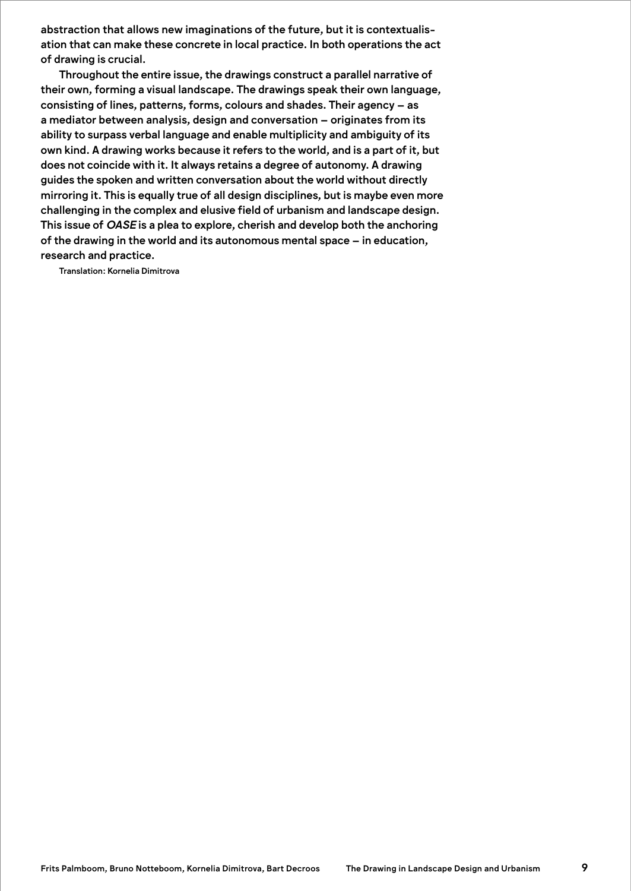abstraction that allows new imaginations of the future, but it is contextualisation that can make these concrete in local practice. In both operations the act of drawing is crucial.

Throughout the entire issue, the drawings construct a parallel narrative of their own, forming a visual landscape. The drawings speak their own language, consisting of lines, patterns, forms, colours and shades. Their agency – as a mediator between analysis, design and conversation – originates from its ability to surpass verbal language and enable multiplicity and ambiguity of its own kind. A drawing works because it refers to the world, and is a part of it, but does not coincide with it. It always retains a degree of autonomy. A drawing guides the spoken and written conversation about the world without directly mirroring it. This is equally true of all design disciplines, but is maybe even more challenging in the complex and elusive field of urbanism and landscape design. This issue of *OASE* is a plea to explore, cherish and develop both the anchoring of the drawing in the world and its autonomous mental space – in education, research and practice.

Translation: Kornelia Dimitrova